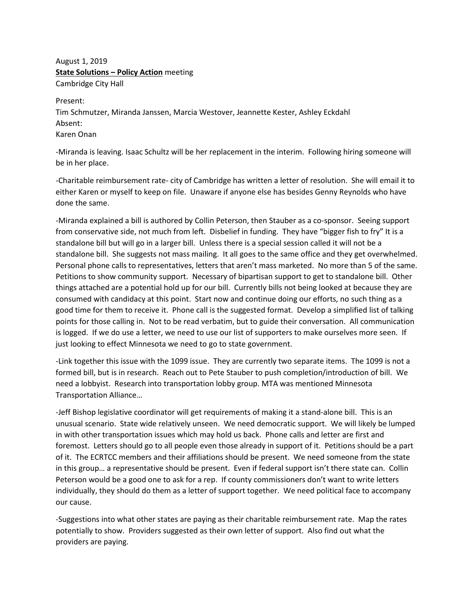August 1, 2019 **State Solutions – Policy Action** meeting Cambridge City Hall

Present:

Tim Schmutzer, Miranda Janssen, Marcia Westover, Jeannette Kester, Ashley Eckdahl Absent: Karen Onan

-Miranda is leaving. Isaac Schultz will be her replacement in the interim. Following hiring someone will be in her place.

-Charitable reimbursement rate- city of Cambridge has written a letter of resolution. She will email it to either Karen or myself to keep on file. Unaware if anyone else has besides Genny Reynolds who have done the same.

-Miranda explained a bill is authored by Collin Peterson, then Stauber as a co-sponsor. Seeing support from conservative side, not much from left. Disbelief in funding. They have "bigger fish to fry" It is a standalone bill but will go in a larger bill. Unless there is a special session called it will not be a standalone bill. She suggests not mass mailing. It all goes to the same office and they get overwhelmed. Personal phone calls to representatives, letters that aren't mass marketed. No more than 5 of the same. Petitions to show community support. Necessary of bipartisan support to get to standalone bill. Other things attached are a potential hold up for our bill. Currently bills not being looked at because they are consumed with candidacy at this point. Start now and continue doing our efforts, no such thing as a good time for them to receive it. Phone call is the suggested format. Develop a simplified list of talking points for those calling in. Not to be read verbatim, but to guide their conversation. All communication is logged. If we do use a letter, we need to use our list of supporters to make ourselves more seen. If just looking to effect Minnesota we need to go to state government.

-Link together this issue with the 1099 issue. They are currently two separate items. The 1099 is not a formed bill, but is in research. Reach out to Pete Stauber to push completion/introduction of bill. We need a lobbyist. Research into transportation lobby group. MTA was mentioned Minnesota Transportation Alliance…

-Jeff Bishop legislative coordinator will get requirements of making it a stand-alone bill. This is an unusual scenario. State wide relatively unseen. We need democratic support. We will likely be lumped in with other transportation issues which may hold us back. Phone calls and letter are first and foremost. Letters should go to all people even those already in support of it. Petitions should be a part of it. The ECRTCC members and their affiliations should be present. We need someone from the state in this group… a representative should be present. Even if federal support isn't there state can. Collin Peterson would be a good one to ask for a rep. If county commissioners don't want to write letters individually, they should do them as a letter of support together. We need political face to accompany our cause.

-Suggestions into what other states are paying as their charitable reimbursement rate. Map the rates potentially to show. Providers suggested as their own letter of support. Also find out what the providers are paying.